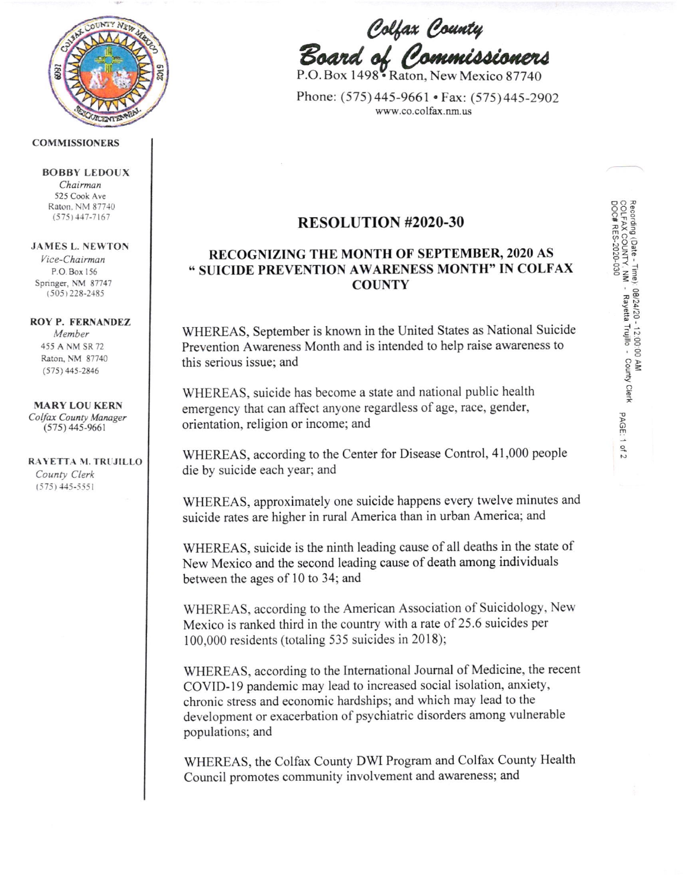

#### COMMISSIONERS

BOBBY LEDOUX Chairman 525 Cook Ave

Raton, NM 87740  $(575)$  447-7167

### JAMES L. NEWTON

Vice-Chairman P.O Box 156 Springer, NM 87747  $(505)$  228-2485

#### ROY P. FERNANDEZ

Member 455 A NM SR ?2 Raton, NM 87740 (s7s) 445-2846

MARY LOU KERN Colfax County Manager (s75) 445-9661

RAYETTA M. TRUJILLO County Clerk  $(575)$  445-5551

Colfax County<br>Board of Commissioners

P.O. Box 1498 Raton, New Mexico 87740

Phone: (575)445-9661 . Fax: (575)445-2902 www.co.colfax.nm.us

# RESOLUTION #2020-30

## RECOGNIZING THE MONTH OF SEPTEMBER,2O2O AS \* STJICIDE PREVENTION AWARENESS MONTH" IN COLFAX **COUNTY**

WHEREAS, September is known in the United States as National Suicide Prevention Awareness Month and is intended to help raise awareness to this serious issue; and

WHEREAS, suicide has become a state and national public health emergency that can affect anyone regardless of age, race, gender, orientation, religion or income; and

WHEREAS, according to the Center for Disease Control, 41,000 people die by suicide each year; and

WHEREAS, approximately one suicide happens every twelve minutes and suicide rates are higher in rural America than in urban America; and

WHEREAS, suicide is the ninth leading cause of all deaths in the state of New Mexico and the second leading cause of death among individuals between the ages of 10 to 34; and

WHEREAS, according to the American Association of Suicidology, New Mexico is ranked third in the country with a rate of 25.6 suicides per 100,000 residents (totaling 535 suicides in 2018);

WHEREAS, according to the Intemational Joumal of Medicine, the recent COVID-I9 pandemic may lead to increased social isolation, anxiety, chronic stress and economic hardships; and which may lead to the development or exacerbation of psychiatric disorders among vulnerable populations; and

WHEREAS, the Colfax County DWI Program and Colfax County Health Council promotes community involvement and awareness; and